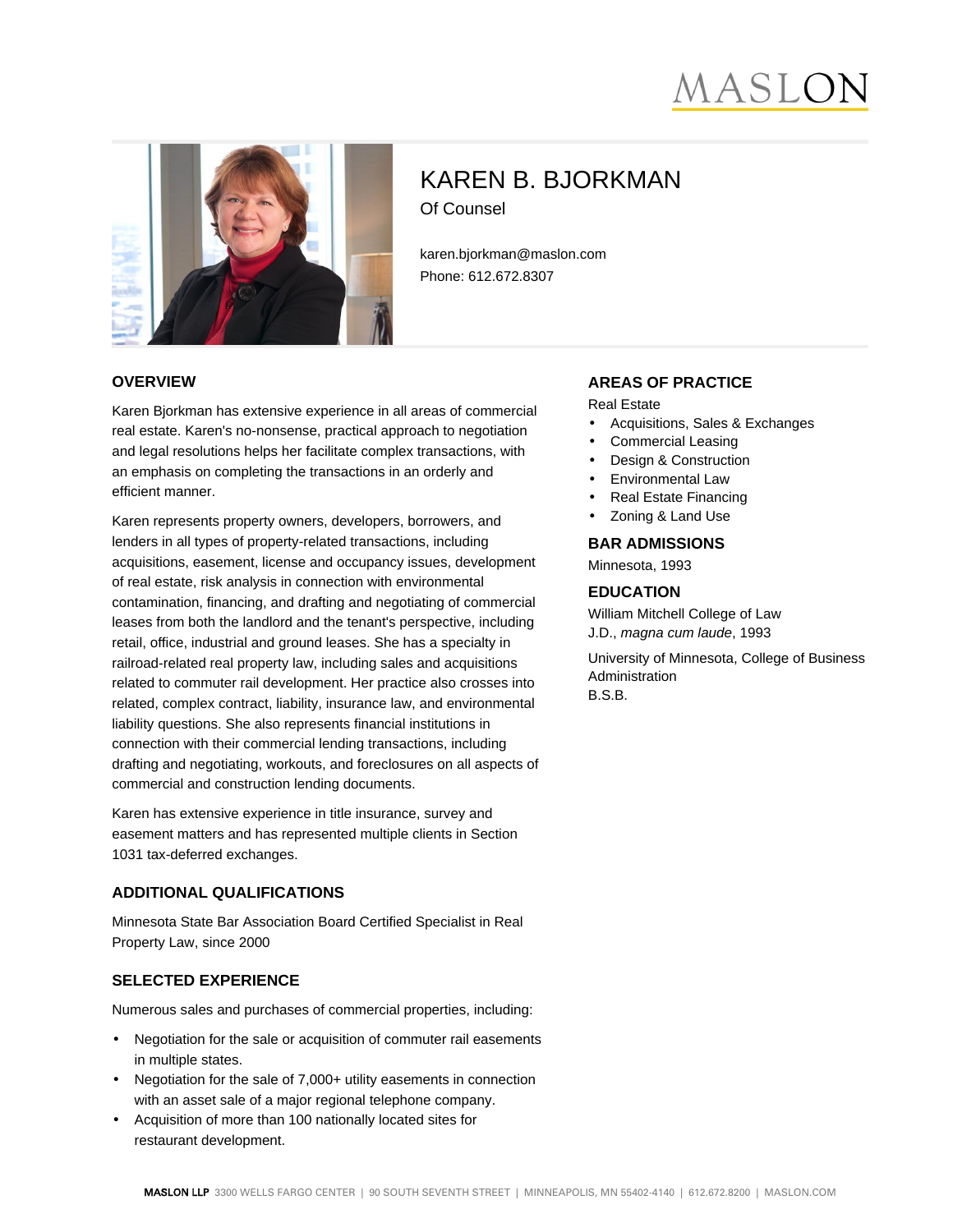# MASLC



# KAREN B. BJORKMAN Of Counsel

karen.bjorkman@maslon.com Phone: 612.672.8307

#### **OVERVIEW**

Karen Bjorkman has extensive experience in all areas of commercial real estate. Karen's no-nonsense, practical approach to negotiation and legal resolutions helps her facilitate complex transactions, with an emphasis on completing the transactions in an orderly and efficient manner.

Karen represents property owners, developers, borrowers, and lenders in all types of property-related transactions, including acquisitions, easement, license and occupancy issues, development of real estate, risk analysis in connection with environmental contamination, financing, and drafting and negotiating of commercial leases from both the landlord and the tenant's perspective, including retail, office, industrial and ground leases. She has a specialty in railroad-related real property law, including sales and acquisitions related to commuter rail development. Her practice also crosses into related, complex contract, liability, insurance law, and environmental liability questions. She also represents financial institutions in connection with their commercial lending transactions, including drafting and negotiating, workouts, and foreclosures on all aspects of commercial and construction lending documents.

Karen has extensive experience in title insurance, survey and easement matters and has represented multiple clients in Section 1031 tax-deferred exchanges.

#### **ADDITIONAL QUALIFICATIONS**

Minnesota State Bar Association Board Certified Specialist in Real Property Law, since 2000

#### **SELECTED EXPERIENCE**

Numerous sales and purchases of commercial properties, including:

- Negotiation for the sale or acquisition of commuter rail easements in multiple states.
- Negotiation for the sale of 7,000+ utility easements in connection with an asset sale of a major regional telephone company.
- Acquisition of more than 100 nationally located sites for restaurant development.

#### **AREAS OF PRACTICE**

Real Estate

- Acquisitions, Sales & Exchanges
- Commercial Leasing
- Design & Construction
- Environmental Law
- Real Estate Financing
- Zoning & Land Use

**BAR ADMISSIONS**

Minnesota, 1993

#### **EDUCATION**

William Mitchell College of Law J.D., magna cum laude, 1993

University of Minnesota, College of Business Administration B.S.B.